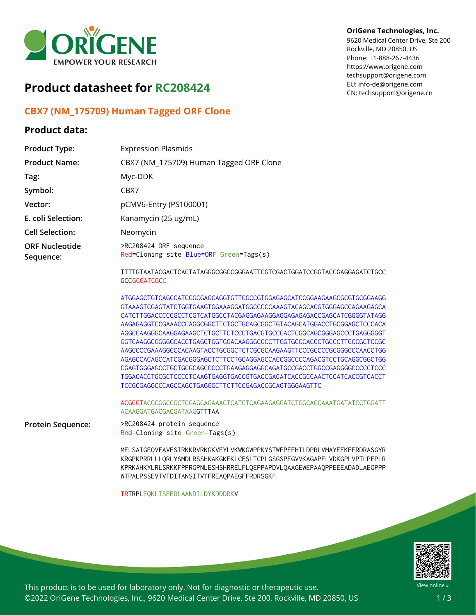

## **Product datasheet for RC208424**

### **CBX7 (NM\_175709) Human Tagged ORF Clone**

### **Product data:**

#### **OriGene Technologies, Inc.**

9620 Medical Center Drive, Ste 200 Rockville, MD 20850, US Phone: +1-888-267-4436 https://www.origene.com techsupport@origene.com EU: info-de@origene.com CN: techsupport@origene.cn

| <b>Product Type:</b>               | <b>Expression Plasmids</b>                                                                                                                                                                                                                                                                                                                                                                                                                                                                                                                                                                                                                                                                                                                                                                                                                                                                                                      |
|------------------------------------|---------------------------------------------------------------------------------------------------------------------------------------------------------------------------------------------------------------------------------------------------------------------------------------------------------------------------------------------------------------------------------------------------------------------------------------------------------------------------------------------------------------------------------------------------------------------------------------------------------------------------------------------------------------------------------------------------------------------------------------------------------------------------------------------------------------------------------------------------------------------------------------------------------------------------------|
| <b>Product Name:</b>               | CBX7 (NM_175709) Human Tagged ORF Clone                                                                                                                                                                                                                                                                                                                                                                                                                                                                                                                                                                                                                                                                                                                                                                                                                                                                                         |
| Tag:                               | Myc-DDK                                                                                                                                                                                                                                                                                                                                                                                                                                                                                                                                                                                                                                                                                                                                                                                                                                                                                                                         |
| Symbol:                            | CBX7                                                                                                                                                                                                                                                                                                                                                                                                                                                                                                                                                                                                                                                                                                                                                                                                                                                                                                                            |
| Vector:                            | pCMV6-Entry (PS100001)                                                                                                                                                                                                                                                                                                                                                                                                                                                                                                                                                                                                                                                                                                                                                                                                                                                                                                          |
| E. coli Selection:                 | Kanamycin (25 ug/mL)                                                                                                                                                                                                                                                                                                                                                                                                                                                                                                                                                                                                                                                                                                                                                                                                                                                                                                            |
| <b>Cell Selection:</b>             | Neomycin                                                                                                                                                                                                                                                                                                                                                                                                                                                                                                                                                                                                                                                                                                                                                                                                                                                                                                                        |
| <b>ORF Nucleotide</b><br>Sequence: | >RC208424 ORF sequence<br>Red=Cloning site Blue=ORF Green=Tags(s)                                                                                                                                                                                                                                                                                                                                                                                                                                                                                                                                                                                                                                                                                                                                                                                                                                                               |
|                                    | TTTTGTAATACGACTCACTATAGGGCGGCCGGGAATTCGTCGACTGGATCCGGTACCGAGGAGATCTGCC<br><b>GCCGCGATCGCC</b>                                                                                                                                                                                                                                                                                                                                                                                                                                                                                                                                                                                                                                                                                                                                                                                                                                   |
|                                    | ATGGAGCTGTCAGCCATCGGCGAGCAGGTGTTCGCCGTGGAGAGCATCCGGAAGAAGCGCGTGCGGAAGG<br>GTAAAGTCGAGTATCTGGTGAAGTGGAAAGGATGGCCCCCAAAGTACAGCACGTGGGAGCCAGAAGAGCA<br>CATCTTGGACCCCCGCCTCGTCATGGCCTACGAGGAGAAGGAGGAGAGACCGAGCATCGGGGTATAGG<br>AAGAGAGGTCCGAAACCCAGGCGGCTTCTGCTGCAGCGGCTGTACAGCATGGACCTGCGGAGCTCCCACA<br>AGGCCAAGGGCAAGGAGAAGCTCTGCTTCTCCCTGACGTGCCCACTCGGCAGCGGGAGCCCTGAGGGGGT<br>GGTCAAGGCGGGGGCACCTGAGCTGGTGGACAAGGGCCCCTTGGTGCCCACCCTGCCCTTCCCGCTCCGC<br>AAGCCCCGAAAGGCCCACAAGTACCTGCGGCTCTCGCGCAAGAAGTTCCCGCCCCCGCGGCCCAACCTGG<br>AGAGCCACAGCCATCGACGGGAGCTCTTCCTGCAGGAGCCACCGGCCCCAGACGTCCTGCAGGCGGCTGG<br>CGAGTGGGAGCCTGCTGCGCAGCCCCCTGAAGAGGAGGCAGATGCCGACCTGGCCGAGGGGCCCCCTCCC<br>TGGACACCTGCGCTCCCCTCAAGTGAGGTGACCGTGACCGACATCACCGCCAACTCCATCACCGTCACCT<br>TCCGCGAGGCCCAGCCAGCTGAGGGCTTCTTCCGAGACCGCAGTGGGAAGTTC<br>ACGCGTACGCGGCCGCTCGAGCAGAAACTCATCTCAGAAGAGGATCTGGCAGCAAATGATATCCTGGATT<br>ACAAGGATGACGACGATAAGGTTTAA |
| Protein Sequence:                  | >RC208424 protein sequence<br>Red=Cloning site Green=Tags(s)                                                                                                                                                                                                                                                                                                                                                                                                                                                                                                                                                                                                                                                                                                                                                                                                                                                                    |
|                                    | MELSAIGEOVFAVESIRKKRVRKGKVEYLVKWKGWPPKYSTWEPEEHILDPRLVMAYEEKEERDRASGYR<br>KRGPKPRRLLLORLYSMDLRSSHKAKGKEKLCFSLTCPLGSGSPEGVVKAGAPELVDKGPLVPTLPFPLR<br>KPRKAHKYLRLSRKKFPPRGPNLESHSHRRELFLQEPPAPDVLQAAGEWEPAAQPPEEEADADLAEGPPP<br>WTPALPSSEVTVTDITANSITVTFREAQPAEGFFRDRSGKF                                                                                                                                                                                                                                                                                                                                                                                                                                                                                                                                                                                                                                                         |
|                                    | TRTRPLEQKLISEEDLAANDILDYKDDDDKV                                                                                                                                                                                                                                                                                                                                                                                                                                                                                                                                                                                                                                                                                                                                                                                                                                                                                                 |



This product is to be used for laboratory only. Not for diagnostic or therapeutic use. ©2022 OriGene Technologies, Inc., 9620 Medical Center Drive, Ste 200, Rockville, MD 20850, US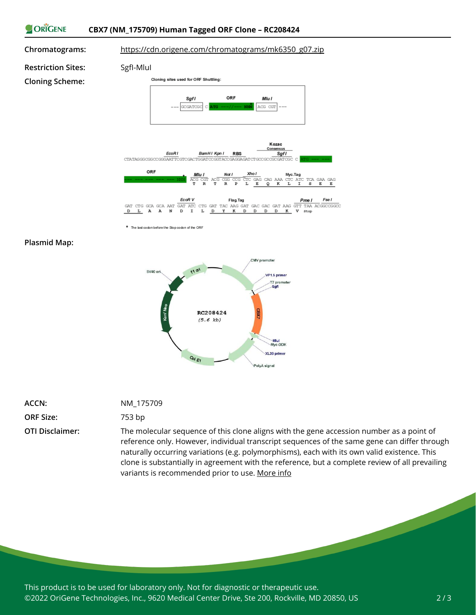



\* The last codon before the Stop codon of the ORF

#### **Plasmid Map:**



| ACCN: | ΝM |
|-------|----|
|       |    |

**ORF Size:** 753 bp

# **ACCN:** NM\_175709

**OTI Disclaimer:** The molecular sequence of this clone aligns with the gene accession number as a point of reference only. However, individual transcript sequences of the same gene can differ through naturally occurring variations (e.g. polymorphisms), each with its own valid existence. This clone is substantially in agreement with the reference, but a complete review of all prevailing variants is recommended prior to use. [More](https://www.ncbi.nlm.nih.gov/books/NBK174586/) info

This product is to be used for laboratory only. Not for diagnostic or therapeutic use. ©2022 OriGene Technologies, Inc., 9620 Medical Center Drive, Ste 200, Rockville, MD 20850, US